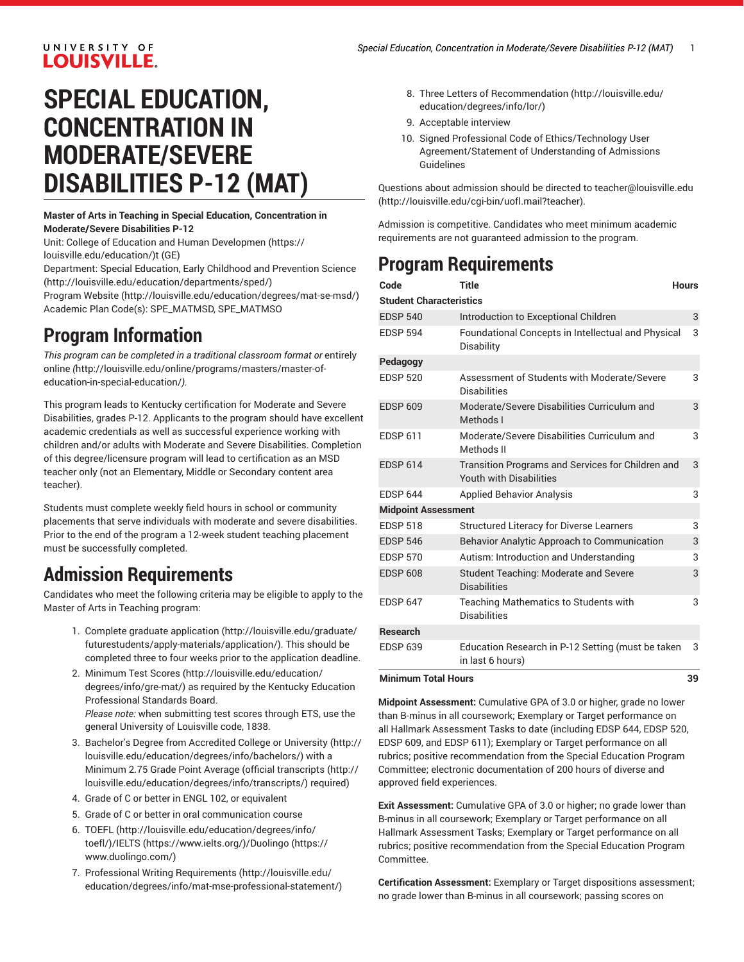#### UNIVERSITY OF **LOUISVILLE.**

# **SPECIAL EDUCATION, CONCENTRATION IN MODERATE/SEVERE DISABILITIES P-12 (MAT)**

#### **Master of Arts in Teaching in Special Education, Concentration in Moderate/Severe Disabilities P-12**

Unit: College of Education and Human [Developmen](https://louisville.edu/education/) ([https://](https://louisville.edu/education/) [louisville.edu/education/](https://louisville.edu/education/))t (GE)

Department: Special Education, Early Childhood and [Prevention](http://louisville.edu/education/departments/sped/) Science (<http://louisville.edu/education/departments/sped/>)

[Program](http://louisville.edu/education/degrees/mat-se-msd/) Website [\(http://louisville.edu/education/degrees/mat-se-msd/](http://louisville.edu/education/degrees/mat-se-msd/)) Academic Plan Code(s): SPE\_MATMSD, SPE\_MATMSO

### **Program Information**

*This program can be completed in a traditional classroom format or* [entirely](http://louisville.edu/online/programs/masters/master-of-education-in-special-education/) [online](http://louisville.edu/online/programs/masters/master-of-education-in-special-education/) *(*[http://louisville.edu/online/programs/masters/master-of](http://louisville.edu/online/programs/masters/master-of-education-in-special-education/)[education-in-special-education/](http://louisville.edu/online/programs/masters/master-of-education-in-special-education/)*).*

This program leads to Kentucky certification for Moderate and Severe Disabilities, grades P-12. Applicants to the program should have excellent academic credentials as well as successful experience working with children and/or adults with Moderate and Severe Disabilities. Completion of this degree/licensure program will lead to certification as an MSD teacher only (not an Elementary, Middle or Secondary content area teacher).

Students must complete weekly field hours in school or community placements that serve individuals with moderate and severe disabilities. Prior to the end of the program a 12-week student teaching placement must be successfully completed.

## **Admission Requirements**

Candidates who meet the following criteria may be eligible to apply to the Master of Arts in Teaching program:

- 1. Complete [graduate application](http://louisville.edu/graduate/futurestudents/apply-materials/application/) [\(http://louisville.edu/graduate/](http://louisville.edu/graduate/futurestudents/apply-materials/application/) [futurestudents/apply-materials/application/\)](http://louisville.edu/graduate/futurestudents/apply-materials/application/). This should be completed three to four weeks prior to the application deadline.
- 2. Minimum Test [Scores](http://louisville.edu/education/degrees/info/gre-mat/) [\(http://louisville.edu/education/](http://louisville.edu/education/degrees/info/gre-mat/) [degrees/info/gre-mat/](http://louisville.edu/education/degrees/info/gre-mat/)) as required by the Kentucky Education Professional Standards Board. *Please note:* when submitting test scores through ETS, use the general University of Louisville code, 1838.
- 3. Bachelor's Degree from [Accredited](http://louisville.edu/education/degrees/info/bachelors/) College or University [\(http://](http://louisville.edu/education/degrees/info/bachelors/) [louisville.edu/education/degrees/info/bachelors/](http://louisville.edu/education/degrees/info/bachelors/)) with a Minimum 2.75 Grade Point Average ([official transcripts](http://louisville.edu/education/degrees/info/transcripts/) ([http://](http://louisville.edu/education/degrees/info/transcripts/) [louisville.edu/education/degrees/info/transcripts/\)](http://louisville.edu/education/degrees/info/transcripts/) required)
- 4. Grade of C or better in ENGL 102, or equivalent
- 5. Grade of C or better in oral communication course
- 6. [TOEFL \(http://louisville.edu/education/degrees/info/](http://louisville.edu/education/degrees/info/toefl/) [toefl/\)](http://louisville.edu/education/degrees/info/toefl/)/[IELTS \(https://www.ielts.org/\)](https://www.ielts.org/)/[Duolingo](https://www.duolingo.com/) ([https://](https://www.duolingo.com/) [www.duolingo.com/](https://www.duolingo.com/))
- 7. Professional Writing [Requirements \(http://louisville.edu/](http://louisville.edu/education/degrees/info/mat-mse-professional-statement/) [education/degrees/info/mat-mse-professional-statement/\)](http://louisville.edu/education/degrees/info/mat-mse-professional-statement/)
- 8. Three [Letters of Recommendation](http://louisville.edu/education/degrees/info/lor/) ([http://louisville.edu/](http://louisville.edu/education/degrees/info/lor/) [education/degrees/info/lor/](http://louisville.edu/education/degrees/info/lor/))
- 9. Acceptable interview
- 10. Signed Professional Code of Ethics/Technology User Agreement/Statement of Understanding of Admissions Guidelines

Questions about admission should be directed to [teacher@louisville.edu](http://louisville.edu/cgi-bin/uofl.mail?teacher) [\(http://louisville.edu/cgi-bin/uofl.mail?teacher](http://louisville.edu/cgi-bin/uofl.mail?teacher)).

Admission is competitive. Candidates who meet minimum academic requirements are not guaranteed admission to the program.

## **Program Requirements**

| Code                           | <b>Title</b>                                                                 | <b>Hours</b> |
|--------------------------------|------------------------------------------------------------------------------|--------------|
| <b>Student Characteristics</b> |                                                                              |              |
| <b>EDSP 540</b>                | Introduction to Exceptional Children                                         | 3            |
| <b>EDSP 594</b>                | Foundational Concepts in Intellectual and Physical<br>Disability             | 3            |
| Pedagogy                       |                                                                              |              |
| <b>EDSP 520</b>                | Assessment of Students with Moderate/Severe<br><b>Disabilities</b>           | 3            |
| <b>EDSP 609</b>                | Moderate/Severe Disabilities Curriculum and<br>Methods I                     | 3            |
| <b>EDSP 611</b>                | Moderate/Severe Disabilities Curriculum and<br>Methods II                    | 3            |
| <b>EDSP 614</b>                | Transition Programs and Services for Children and<br>Youth with Disabilities | 3            |
| <b>FDSP 644</b>                | <b>Applied Behavior Analysis</b>                                             | 3            |
| <b>Midpoint Assessment</b>     |                                                                              |              |
| <b>EDSP 518</b>                | <b>Structured Literacy for Diverse Learners</b>                              | 3            |
| <b>EDSP 546</b>                | Behavior Analytic Approach to Communication                                  | 3            |
| <b>EDSP 570</b>                | Autism: Introduction and Understanding                                       | 3            |
| <b>EDSP 608</b>                | Student Teaching: Moderate and Severe<br><b>Disabilities</b>                 | 3            |
| <b>EDSP 647</b>                | Teaching Mathematics to Students with<br><b>Disabilities</b>                 | 3            |
| <b>Research</b>                |                                                                              |              |
| <b>EDSP 639</b>                | Education Research in P-12 Setting (must be taken<br>in last 6 hours)        | 3            |
| Minimum Tatal Hauro<br>າດ      |                                                                              |              |

**Minimum Total Hours 39**

**Midpoint Assessment:** Cumulative GPA of 3.0 or higher, grade no lower than B-minus in all coursework; Exemplary or Target performance on all Hallmark Assessment Tasks to date (including EDSP 644, EDSP 520, EDSP 609, and EDSP 611); Exemplary or Target performance on all rubrics; positive recommendation from the Special Education Program Committee; electronic documentation of 200 hours of diverse and approved field experiences.

**Exit Assessment:** Cumulative GPA of 3.0 or higher; no grade lower than B-minus in all coursework; Exemplary or Target performance on all Hallmark Assessment Tasks; Exemplary or Target performance on all rubrics; positive recommendation from the Special Education Program Committee.

**Certification Assessment:** Exemplary or Target dispositions assessment; no grade lower than B-minus in all coursework; passing scores on